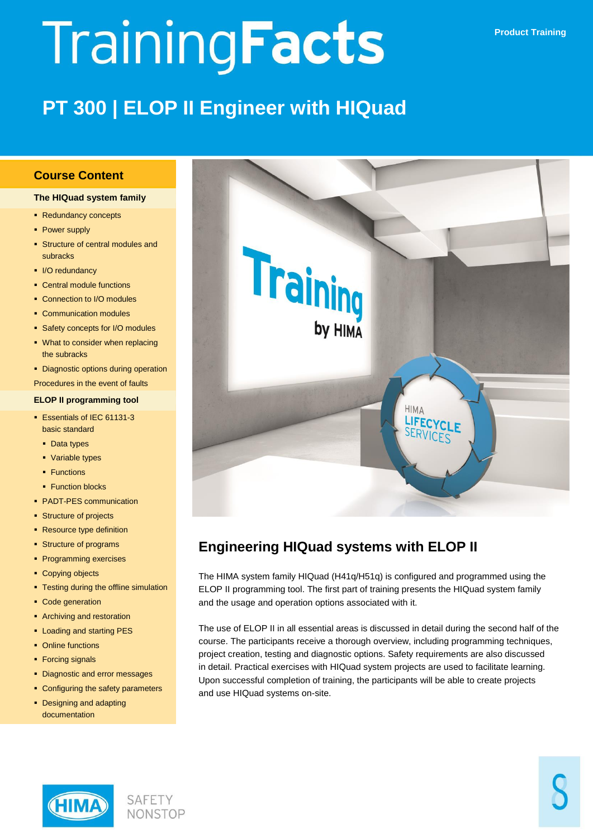# TrainingFacts

## **PT 300 | ELOP II Engineer with HIQuad**

#### **Course Content**

#### **The HIQuad system family**

- Redundancy concepts
- Power supply
- **Structure of central modules and** subracks
- I/O redundancy
- Central module functions
- Connection to I/O modules
- Communication modules
- **Safety concepts for I/O modules**
- **What to consider when replacing** the subracks
- Diagnostic options during operation
- Procedures in the event of faults

#### **ELOP II programming tool**

- Essentials of IEC 61131-3 basic standard
	- Data types
	- Variable types
	- **Functions**
- Function blocks
- PADT-PES communication
- **Structure of projects**
- Resource type definition
- **Structure of programs**
- **Programming exercises**
- Copying objects
- Testing during the offline simulation
- Code generation
- **Archiving and restoration**
- **-** Loading and starting PES
- Online functions
- Forcing signals
- Diagnostic and error messages
- Configuring the safety parameters
- Designing and adapting documentation



### **Engineering HIQuad systems with ELOP II**

The HIMA system family HIQuad (H41q/H51q) is configured and programmed using the ELOP II programming tool. The first part of training presents the HIQuad system family and the usage and operation options associated with it.

The use of ELOP II in all essential areas is discussed in detail during the second half of the course. The participants receive a thorough overview, including programming techniques, project creation, testing and diagnostic options. Safety requirements are also discussed in detail. Practical exercises with HIQuad system projects are used to facilitate learning. Upon successful completion of training, the participants will be able to create projects and use HIQuad systems on-site.



**SAFETY NONSTOP**